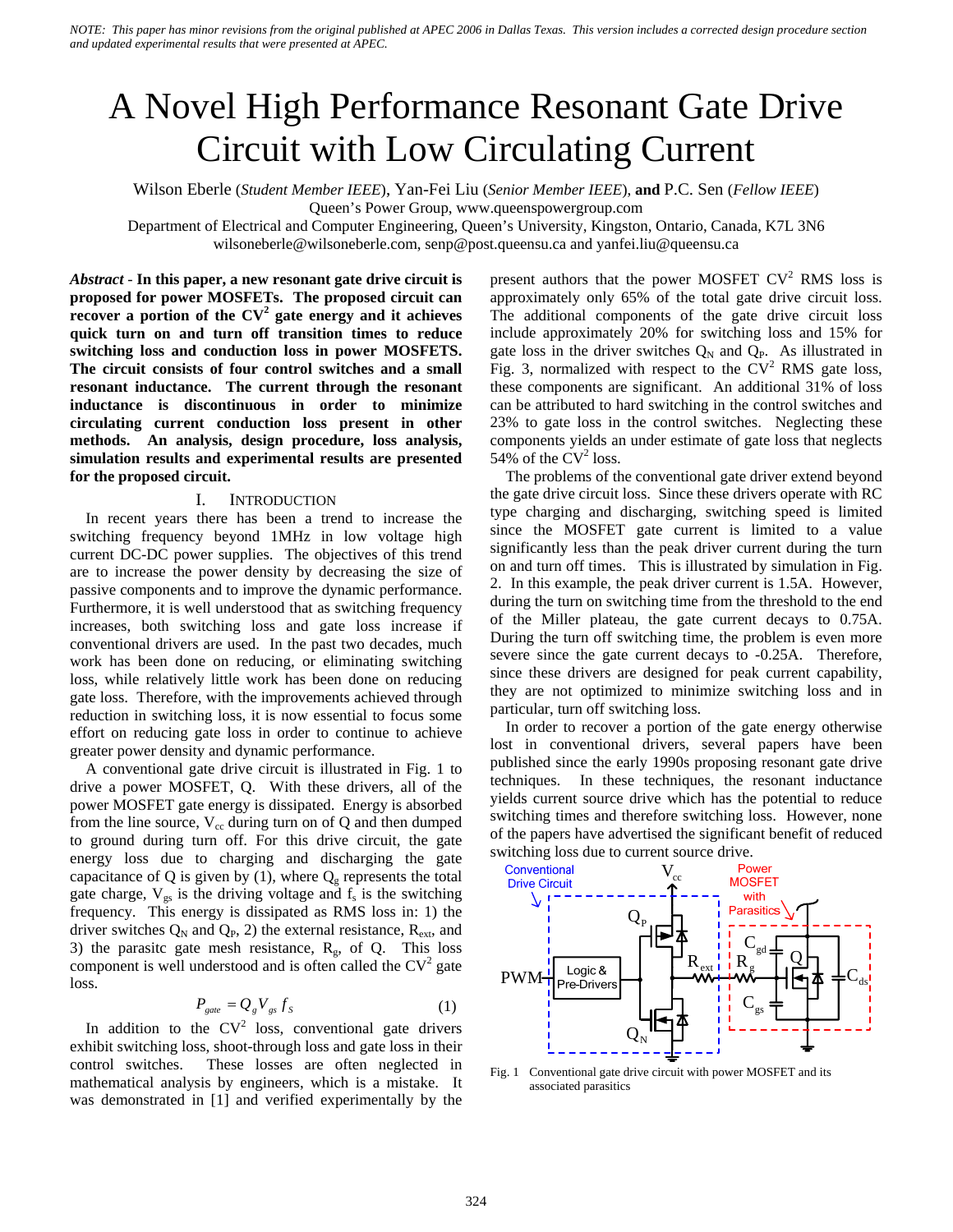# A Novel High Performance Resonant Gate Drive Circuit with Low Circulating Current

Wilson Eberle (*Student Member IEEE*), Yan-Fei Liu (*Senior Member IEEE*), **and** P.C. Sen (*Fellow IEEE*)

Queen's Power Group, www.queenspowergroup.com

Department of Electrical and Computer Engineering, Queen's University, Kingston, Ontario, Canada, K7L 3N6 wilsoneberle@wilsoneberle.com, senp@post.queensu.ca and yanfei.liu@queensu.ca

*Abstract* - **In this paper, a new resonant gate drive circuit is proposed for power MOSFETs. The proposed circuit can recover a portion of the CV<sup>2</sup> gate energy and it achieves quick turn on and turn off transition times to reduce switching loss and conduction loss in power MOSFETS. The circuit consists of four control switches and a small resonant inductance. The current through the resonant inductance is discontinuous in order to minimize circulating current conduction loss present in other methods. An analysis, design procedure, loss analysis, simulation results and experimental results are presented for the proposed circuit.**

#### I. INTRODUCTION

In recent years there has been a trend to increase the switching frequency beyond 1MHz in low voltage high current DC-DC power supplies. The objectives of this trend are to increase the power density by decreasing the size of passive components and to improve the dynamic performance. Furthermore, it is well understood that as switching frequency increases, both switching loss and gate loss increase if conventional drivers are used. In the past two decades, much work has been done on reducing, or eliminating switching loss, while relatively little work has been done on reducing gate loss. Therefore, with the improvements achieved through reduction in switching loss, it is now essential to focus some effort on reducing gate loss in order to continue to achieve greater power density and dynamic performance.

A conventional gate drive circuit is illustrated in Fig. 1 to drive a power MOSFET, Q. With these drivers, all of the power MOSFET gate energy is dissipated. Energy is absorbed from the line source,  $V_{cc}$  during turn on of Q and then dumped to ground during turn off. For this drive circuit, the gate energy loss due to charging and discharging the gate capacitance of Q is given by (1), where  $Q_{g}$  represents the total gate charge,  $V_{gs}$  is the driving voltage and  $f_s$  is the switching frequency. This energy is dissipated as RMS loss in: 1) the driver switches  $Q_N$  and  $Q_P$ , 2) the external resistance,  $R_{ext}$ , and 3) the parasitc gate mesh resistance,  $R_g$ , of Q. This loss component is well understood and is often called the  $CV<sup>2</sup>$  gate loss.

$$
P_{gate} = Q_g V_{gs} f_s \tag{1}
$$

In addition to the  $CV^2$  loss, conventional gate drivers exhibit switching loss, shoot-through loss and gate loss in their control switches. These losses are often neglected in mathematical analysis by engineers, which is a mistake. It was demonstrated in [1] and verified experimentally by the

present authors that the power MOSFET  $CV^2$  RMS loss is approximately only 65% of the total gate drive circuit loss. The additional components of the gate drive circuit loss include approximately 20% for switching loss and 15% for gate loss in the driver switches  $Q_N$  and  $Q_P$ . As illustrated in Fig. 3, normalized with respect to the  $CV<sup>2</sup> RMS$  gate loss, these components are significant. An additional 31% of loss can be attributed to hard switching in the control switches and 23% to gate loss in the control switches. Neglecting these components yields an under estimate of gate loss that neglects 54% of the  $CV^2$  loss.

The problems of the conventional gate driver extend beyond the gate drive circuit loss. Since these drivers operate with RC type charging and discharging, switching speed is limited since the MOSFET gate current is limited to a value significantly less than the peak driver current during the turn on and turn off times. This is illustrated by simulation in Fig. 2. In this example, the peak driver current is 1.5A. However, during the turn on switching time from the threshold to the end of the Miller plateau, the gate current decays to 0.75A. During the turn off switching time, the problem is even more severe since the gate current decays to -0.25A. Therefore, since these drivers are designed for peak current capability, they are not optimized to minimize switching loss and in particular, turn off switching loss.

In order to recover a portion of the gate energy otherwise lost in conventional drivers, several papers have been published since the early 1990s proposing resonant gate drive techniques. In these techniques, the resonant inductance yields current source drive which has the potential to reduce switching times and therefore switching loss. However, none of the papers have advertised the significant benefit of reduced switching loss due to current source drive.



 Fig. 1 Conventional gate drive circuit with power MOSFET and its associated parasitics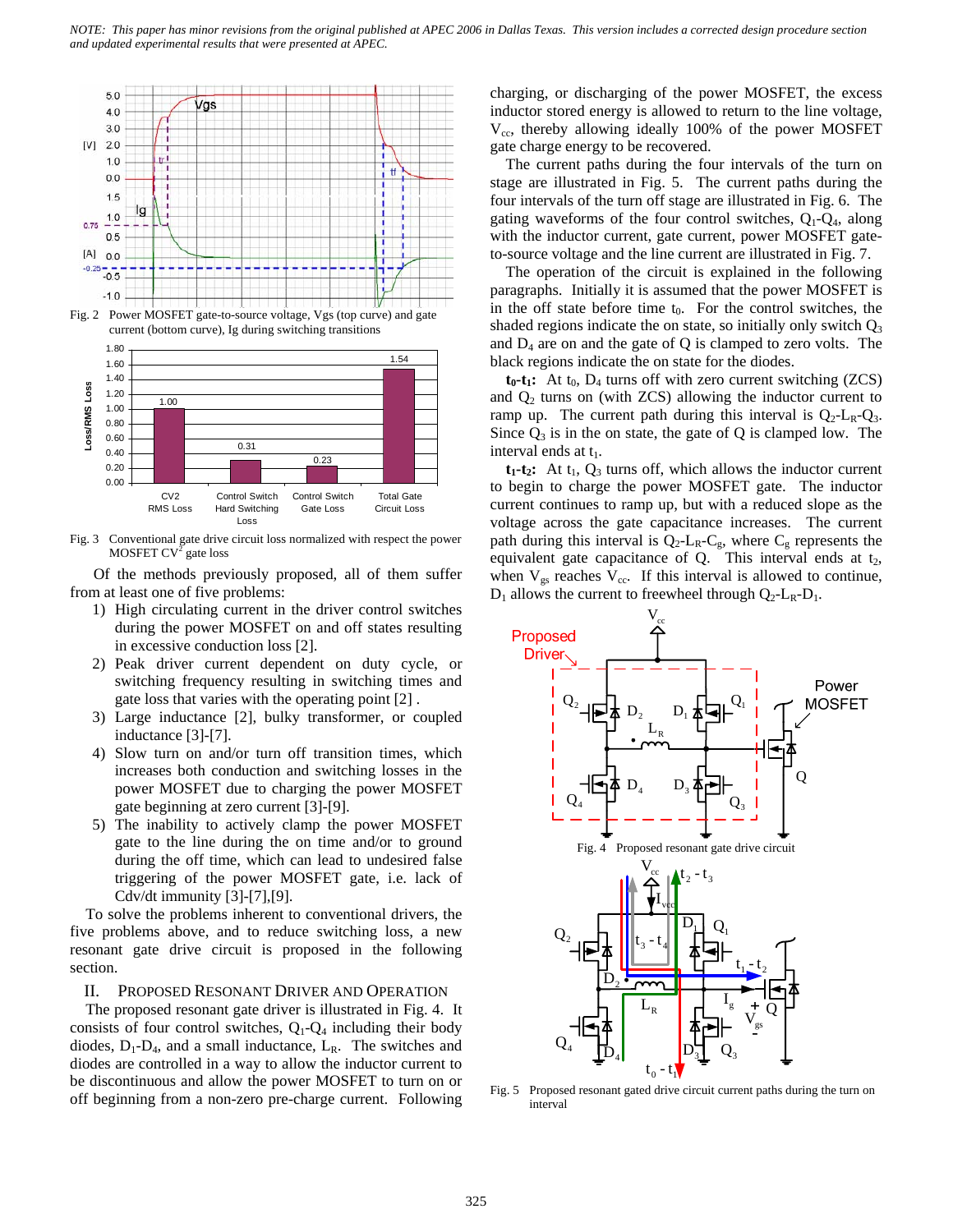

Fig. 2 Power MOSFET gate-to-source voltage, Vgs (top curve) and gate current (bottom curve), Ig during switching transitions



 Fig. 3 Conventional gate drive circuit loss normalized with respect the power MOSFET  $CV^2$  gate loss

 Of the methods previously proposed, all of them suffer from at least one of five problems:

- 1) High circulating current in the driver control switches during the power MOSFET on and off states resulting in excessive conduction loss [2].
- 2) Peak driver current dependent on duty cycle, or switching frequency resulting in switching times and gate loss that varies with the operating point [2] .
- 3) Large inductance [2], bulky transformer, or coupled inductance [3]-[7].
- 4) Slow turn on and/or turn off transition times, which increases both conduction and switching losses in the power MOSFET due to charging the power MOSFET gate beginning at zero current [3]-[9].
- 5) The inability to actively clamp the power MOSFET gate to the line during the on time and/or to ground during the off time, which can lead to undesired false triggering of the power MOSFET gate, i.e. lack of Cdv/dt immunity [3]-[7],[9].

To solve the problems inherent to conventional drivers, the five problems above, and to reduce switching loss, a new resonant gate drive circuit is proposed in the following section.

#### II. PROPOSED RESONANT DRIVER AND OPERATION

The proposed resonant gate driver is illustrated in Fig. 4. It consists of four control switches,  $Q_1 - Q_4$  including their body diodes,  $D_1 - D_4$ , and a small inductance,  $L_R$ . The switches and diodes are controlled in a way to allow the inductor current to be discontinuous and allow the power MOSFET to turn on or off beginning from a non-zero pre-charge current. Following charging, or discharging of the power MOSFET, the excess inductor stored energy is allowed to return to the line voltage,  $V_{cc}$ , thereby allowing ideally 100% of the power MOSFET gate charge energy to be recovered.

The current paths during the four intervals of the turn on stage are illustrated in Fig. 5. The current paths during the four intervals of the turn off stage are illustrated in Fig. 6. The gating waveforms of the four control switches,  $Q_1-Q_4$ , along with the inductor current, gate current, power MOSFET gateto-source voltage and the line current are illustrated in Fig. 7.

The operation of the circuit is explained in the following paragraphs. Initially it is assumed that the power MOSFET is in the off state before time  $t_0$ . For the control switches, the shaded regions indicate the on state, so initially only switch  $Q_3$ and  $D_4$  are on and the gate of Q is clamped to zero volts. The black regions indicate the on state for the diodes.

 $t_0$ - $t_1$ : At  $t_0$ ,  $D_4$  turns off with zero current switching (ZCS) and  $Q_2$  turns on (with ZCS) allowing the inductor current to ramp up. The current path during this interval is  $Q_2$ -L<sub>R</sub>- $Q_3$ . Since  $Q_3$  is in the on state, the gate of Q is clamped low. The interval ends at  $t_1$ .

 $t_1$ - $t_2$ : At  $t_1$ ,  $Q_3$  turns off, which allows the inductor current to begin to charge the power MOSFET gate. The inductor current continues to ramp up, but with a reduced slope as the voltage across the gate capacitance increases. The current path during this interval is  $Q_2$ -L<sub>R</sub>-C<sub>g</sub>, where C<sub>g</sub> represents the equivalent gate capacitance of  $Q$ . This interval ends at  $t_2$ , when  $V_{gs}$  reaches  $V_{cc}$ . If this interval is allowed to continue,  $D_1$  allows the current to freewheel through  $Q_2$ -L<sub>R</sub>-D<sub>1</sub>.



Fig. 5 Proposed resonant gated drive circuit current paths during the turn on interval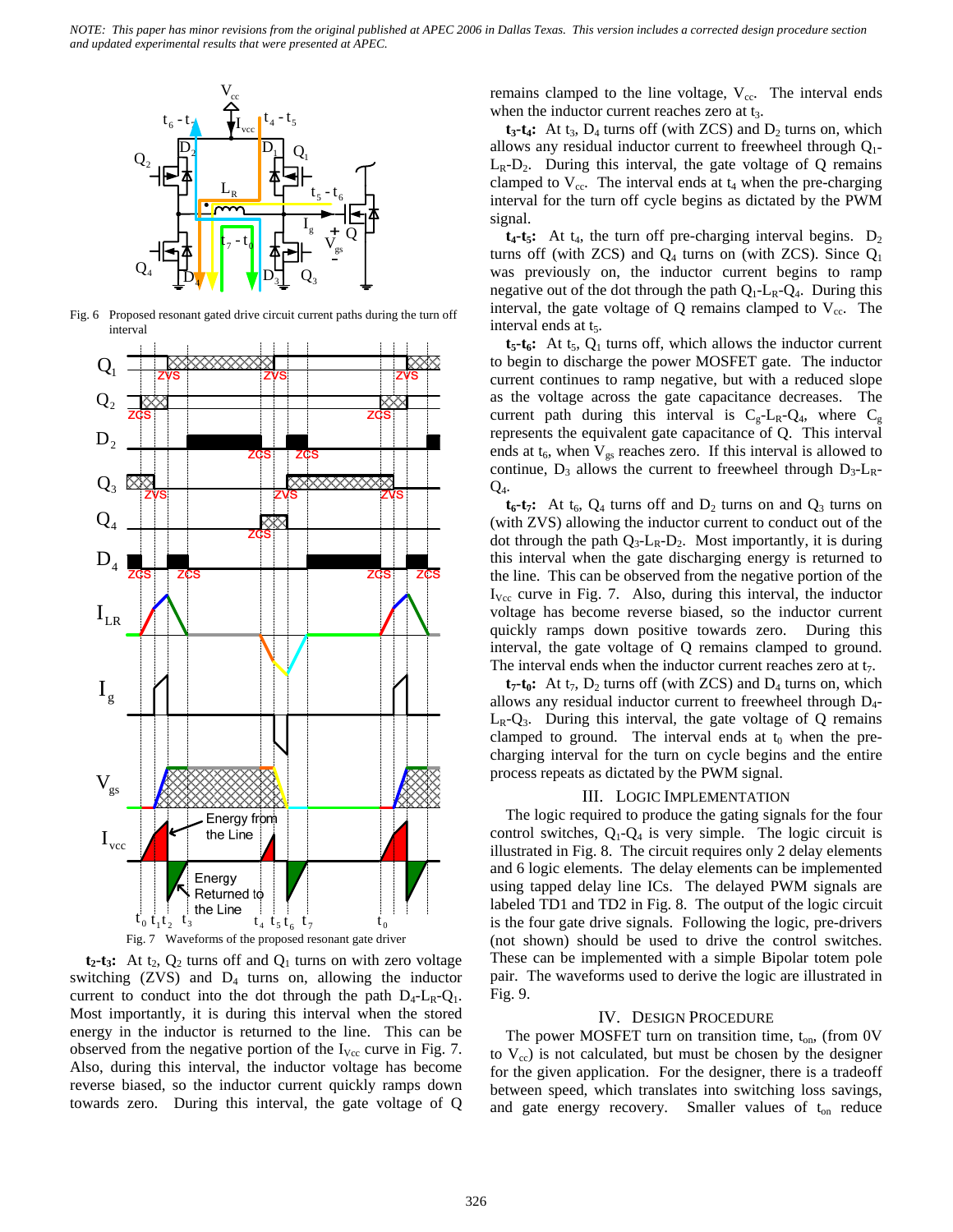

Fig. 6 Proposed resonant gated drive circuit current paths during the turn off interval



 $t_2$ - $t_3$ : At  $t_2$ ,  $Q_2$  turns off and  $Q_1$  turns on with zero voltage switching  $(ZVS)$  and  $D_4$  turns on, allowing the inductor current to conduct into the dot through the path  $D_4$ - $L_R$ - $Q_1$ . Most importantly, it is during this interval when the stored energy in the inductor is returned to the line. This can be observed from the negative portion of the  $I_{\text{Vcc}}$  curve in Fig. 7. Also, during this interval, the inductor voltage has become reverse biased, so the inductor current quickly ramps down towards zero. During this interval, the gate voltage of Q

remains clamped to the line voltage,  $V_{\text{cc}}$ . The interval ends when the inductor current reaches zero at t<sub>3</sub>.

 $t_3-t_4$ : At  $t_3$ ,  $D_4$  turns off (with ZCS) and  $D_2$  turns on, which allows any residual inductor current to freewheel through  $Q_1$ - $L_R-D_2$ . During this interval, the gate voltage of Q remains clamped to  $V_{cc}$ . The interval ends at  $t_4$  when the pre-charging interval for the turn off cycle begins as dictated by the PWM signal.

 $t_4$ - $t_5$ : At  $t_4$ , the turn off pre-charging interval begins.  $D_2$ turns off (with ZCS) and  $Q_4$  turns on (with ZCS). Since  $Q_1$ was previously on, the inductor current begins to ramp negative out of the dot through the path  $Q_1$ -L<sub>R</sub>- $Q_4$ . During this interval, the gate voltage of  $Q$  remains clamped to  $V_{cc}$ . The interval ends at  $t_5$ .

 $t_5-t_6$ : At  $t_5$ ,  $Q_1$  turns off, which allows the inductor current to begin to discharge the power MOSFET gate. The inductor current continues to ramp negative, but with a reduced slope as the voltage across the gate capacitance decreases. The current path during this interval is  $C_g - L_R - Q_4$ , where  $C_g$ represents the equivalent gate capacitance of Q. This interval ends at  $t_6$ , when  $V_{gs}$  reaches zero. If this interval is allowed to continue,  $D_3$  allows the current to freewheel through  $D_3$ -L<sub>R</sub>- $Q_4$ .

 $t_6-t_7$ : At  $t_6$ ,  $Q_4$  turns off and  $D_2$  turns on and  $Q_3$  turns on (with ZVS) allowing the inductor current to conduct out of the dot through the path  $Q_3$ -L<sub>R</sub>-D<sub>2</sub>. Most importantly, it is during this interval when the gate discharging energy is returned to the line. This can be observed from the negative portion of the  $I_{\text{Vec}}$  curve in Fig. 7. Also, during this interval, the inductor voltage has become reverse biased, so the inductor current quickly ramps down positive towards zero. During this interval, the gate voltage of Q remains clamped to ground. The interval ends when the inductor current reaches zero at  $t_7$ .

 $t_7$ - $t_0$ : At  $t_7$ ,  $D_2$  turns off (with ZCS) and  $D_4$  turns on, which allows any residual inductor current to freewheel through D4-  $L_R-Q_3$ . During this interval, the gate voltage of Q remains clamped to ground. The interval ends at  $t_0$  when the precharging interval for the turn on cycle begins and the entire process repeats as dictated by the PWM signal.

### III. LOGIC IMPLEMENTATION

The logic required to produce the gating signals for the four control switches,  $Q_1 - Q_4$  is very simple. The logic circuit is illustrated in Fig. 8. The circuit requires only 2 delay elements and 6 logic elements. The delay elements can be implemented using tapped delay line ICs. The delayed PWM signals are labeled TD1 and TD2 in Fig. 8. The output of the logic circuit is the four gate drive signals. Following the logic, pre-drivers (not shown) should be used to drive the control switches. These can be implemented with a simple Bipolar totem pole pair. The waveforms used to derive the logic are illustrated in Fig. 9.

#### IV. DESIGN PROCEDURE

The power MOSFET turn on transition time,  $t_{on}$ , (from 0V to  $V_{cc}$ ) is not calculated, but must be chosen by the designer for the given application. For the designer, there is a tradeoff between speed, which translates into switching loss savings, and gate energy recovery. Smaller values of  $t_{on}$  reduce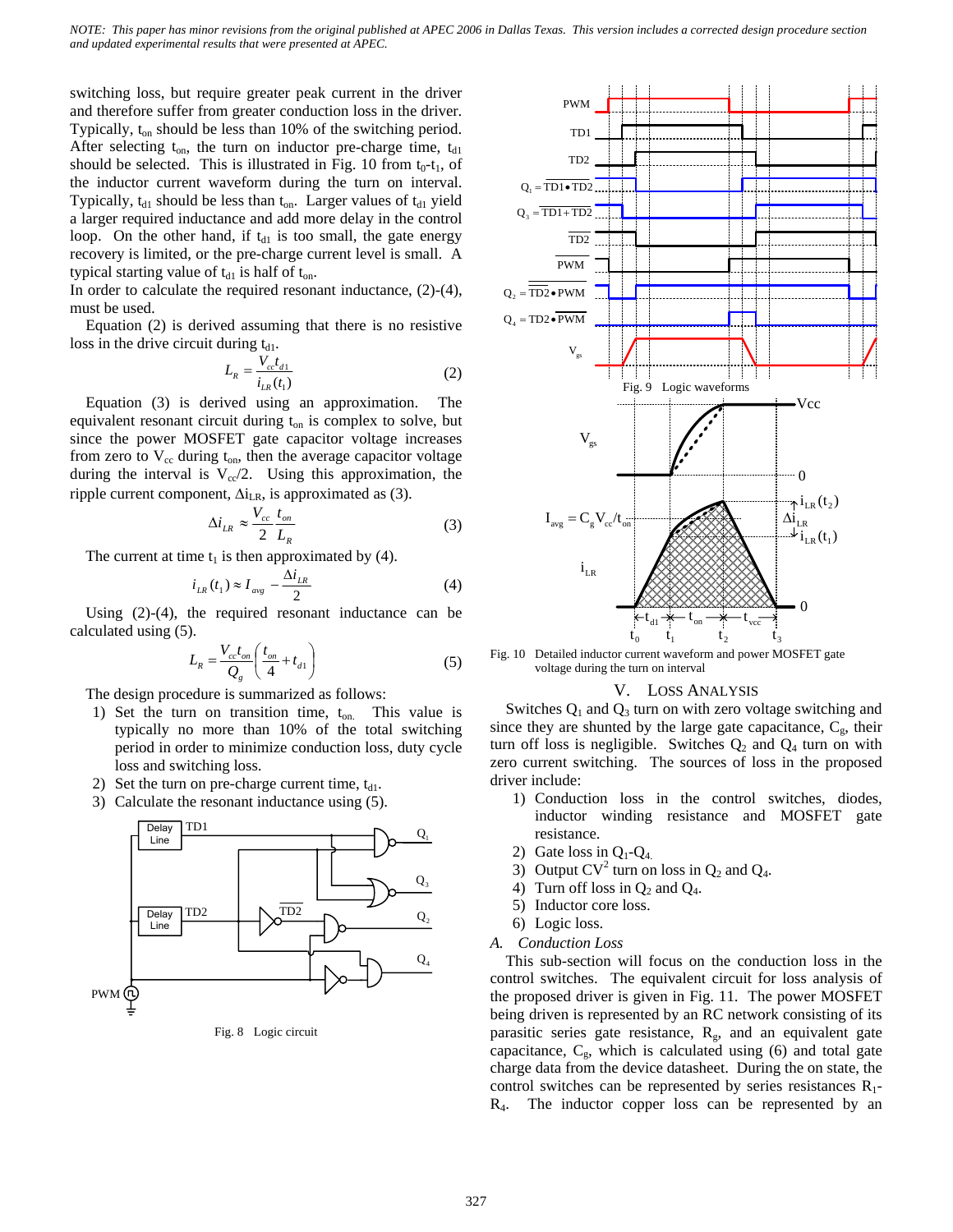switching loss, but require greater peak current in the driver and therefore suffer from greater conduction loss in the driver. Typically,  $t_{on}$  should be less than 10% of the switching period. After selecting  $t_{on}$ , the turn on inductor pre-charge time,  $t_{d1}$ should be selected. This is illustrated in Fig. 10 from  $t_0-t_1$ , of the inductor current waveform during the turn on interval. Typically,  $t_{d1}$  should be less than  $t_{on}$ . Larger values of  $t_{d1}$  yield a larger required inductance and add more delay in the control loop. On the other hand, if  $t_{d1}$  is too small, the gate energy recovery is limited, or the pre-charge current level is small. A typical starting value of  $t_{d1}$  is half of  $t_{on}$ .

In order to calculate the required resonant inductance, (2)-(4), must be used.

Equation (2) is derived assuming that there is no resistive loss in the drive circuit during  $t_{d1}$ .

$$
L_R = \frac{V_{cc}t_{d1}}{i_{LR}(t_1)}
$$
 (2)

Equation (3) is derived using an approximation. The equivalent resonant circuit during  $t_{on}$  is complex to solve, but since the power MOSFET gate capacitor voltage increases from zero to  $V_{cc}$  during  $t_{on}$ , then the average capacitor voltage during the interval is  $V_{cc}/2$ . Using this approximation, the ripple current component,  $\Delta i_{LR}$ , is approximated as (3).

$$
\Delta i_{LR} \approx \frac{V_{cc}}{2} \frac{t_{on}}{L_R} \tag{3}
$$

The current at time  $t_1$  is then approximated by (4).

$$
i_{LR}(t_1) \approx I_{avg} - \frac{\Delta i_{LR}}{2} \tag{4}
$$

Using (2)-(4), the required resonant inductance can be calculated using (5).

$$
L_R = \frac{V_{cc}t_{on}}{Q_g} \left(\frac{t_{on}}{4} + t_{d1}\right)
$$
 (5)

The design procedure is summarized as follows:

- 1) Set the turn on transition time,  $t_{on}$ . This value is typically no more than 10% of the total switching period in order to minimize conduction loss, duty cycle loss and switching loss.
- 2) Set the turn on pre-charge current time,  $t_{d1}$ .
- 3) Calculate the resonant inductance using (5).



Fig. 8 Logic circuit



Fig. 10 Detailed inductor current waveform and power MOSFET gate voltage during the turn on interval

#### V. LOSS ANALYSIS

Switches  $Q_1$  and  $Q_3$  turn on with zero voltage switching and since they are shunted by the large gate capacitance,  $C_{g}$ , their turn off loss is negligible. Switches  $Q_2$  and  $Q_4$  turn on with zero current switching. The sources of loss in the proposed driver include:

- 1) Conduction loss in the control switches, diodes, inductor winding resistance and MOSFET gate resistance.
- 2) Gate loss in  $Q_1$ - $Q_4$ .
- 3) Output  $CV^2$  turn on loss in  $Q_2$  and  $Q_4$ .
- 4) Turn off loss in  $Q_2$  and  $Q_4$ .
- 5) Inductor core loss.
- 6) Logic loss.
- *A. Conduction Loss*

This sub-section will focus on the conduction loss in the control switches. The equivalent circuit for loss analysis of the proposed driver is given in Fig. 11. The power MOSFET being driven is represented by an RC network consisting of its parasitic series gate resistance,  $R_g$ , and an equivalent gate capacitance,  $C_g$ , which is calculated using (6) and total gate charge data from the device datasheet. During the on state, the control switches can be represented by series resistances  $R_1$ -R4. The inductor copper loss can be represented by an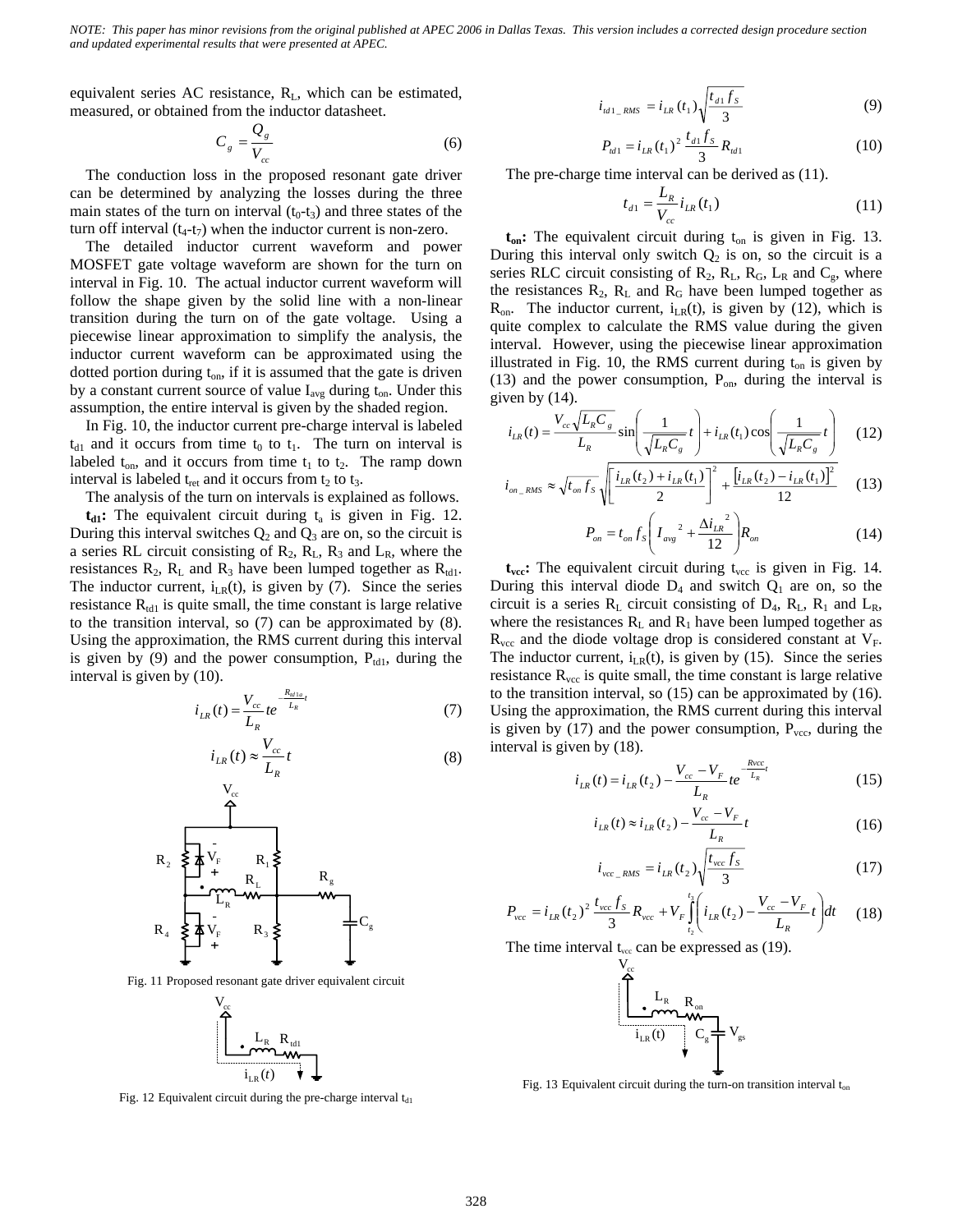equivalent series AC resistance,  $R_L$ , which can be estimated, measured, or obtained from the inductor datasheet.

$$
C_g = \frac{Q_g}{V_{cc}}\tag{6}
$$

The conduction loss in the proposed resonant gate driver can be determined by analyzing the losses during the three main states of the turn on interval  $(t_0-t_3)$  and three states of the turn off interval  $(t_4-t_7)$  when the inductor current is non-zero.

The detailed inductor current waveform and power MOSFET gate voltage waveform are shown for the turn on interval in Fig. 10. The actual inductor current waveform will follow the shape given by the solid line with a non-linear transition during the turn on of the gate voltage. Using a piecewise linear approximation to simplify the analysis, the inductor current waveform can be approximated using the dotted portion during  $t_{on}$ , if it is assumed that the gate is driven by a constant current source of value  $I_{avg}$  during  $t_{on}$ . Under this assumption, the entire interval is given by the shaded region.

In Fig. 10, the inductor current pre-charge interval is labeled  $t_{d1}$  and it occurs from time  $t_0$  to  $t_1$ . The turn on interval is labeled  $t_{on}$ , and it occurs from time  $t_1$  to  $t_2$ . The ramp down interval is labeled  $t_{\text{ret}}$  and it occurs from  $t_2$  to  $t_3$ .

The analysis of the turn on intervals is explained as follows.

 $t_{d1}$ : The equivalent circuit during  $t_a$  is given in Fig. 12. During this interval switches  $Q_2$  and  $Q_3$  are on, so the circuit is a series RL circuit consisting of  $R_2$ ,  $R_L$ ,  $R_3$  and  $L_R$ , where the resistances  $R_2$ ,  $R_L$  and  $R_3$  have been lumped together as  $R_{td1}$ . The inductor current,  $i_{LR}(t)$ , is given by (7). Since the series resistance  $R_{td1}$  is quite small, the time constant is large relative to the transition interval, so (7) can be approximated by (8). Using the approximation, the RMS current during this interval is given by  $(9)$  and the power consumption,  $P_{td1}$ , during the interval is given by (10).

$$
i_{LR}(t) = \frac{V_{cc}}{L_R} t e^{-\frac{R_{\text{at}}}{L_R}t}
$$
(7)

$$
i_{LR}(t) \approx \frac{V_{cc}}{L_R}t\tag{8}
$$



Fig. 11 Proposed resonant gate driver equivalent circuit



Fig. 12 Equivalent circuit during the pre-charge interval  $t_{d1}$ 

$$
i_{t_{d1}RMS} = i_{LR}(t_1) \sqrt{\frac{t_{d1}f_s}{3}}
$$
 (9)

$$
P_{\text{td1}} = i_{LR} (t_1)^2 \frac{t_{d1} f_s}{3} R_{\text{td1}} \tag{10}
$$

The pre-charge time interval can be derived as (11).

$$
t_{d1} = \frac{L_R}{V_{cc}} i_{LR}(t_1)
$$
 (11)

 $t_{on}$ : The equivalent circuit during  $t_{on}$  is given in Fig. 13. During this interval only switch  $Q_2$  is on, so the circuit is a series RLC circuit consisting of  $R_2$ ,  $R_L$ ,  $R_G$ ,  $L_R$  and  $C_g$ , where the resistances  $R_2$ ,  $R_L$  and  $R_G$  have been lumped together as  $R_{on}$ . The inductor current,  $i_{LR}(t)$ , is given by (12), which is quite complex to calculate the RMS value during the given interval. However, using the piecewise linear approximation illustrated in Fig. 10, the RMS current during  $t_{on}$  is given by (13) and the power consumption,  $P_{on}$ , during the interval is given by (14).

$$
i_{LR}(t) = \frac{V_{cc}\sqrt{L_R C_g}}{L_R} \sin\left(\frac{1}{\sqrt{L_R C_g}}t\right) + i_{LR}(t_1)\cos\left(\frac{1}{\sqrt{L_R C_g}}t\right) \tag{12}
$$

$$
i_{on\_RMS} \approx \sqrt{t_{on} f_S} \sqrt{\left[\frac{i_{LR}(t_2) + i_{LR}(t_1)}{2}\right]^2 + \frac{\left[i_{LR}(t_2) - i_{LR}(t_1)\right]^2}{12}} \quad (13)
$$

$$
P_{on} = t_{on} f_s \left( I_{avg}^2 + \frac{\Delta i_{LR}^2}{12} \right) R_{on}
$$
 (14)

 $t_{\text{vec}}$ : The equivalent circuit during  $t_{\text{vec}}$  is given in Fig. 14. During this interval diode  $D_4$  and switch  $Q_1$  are on, so the circuit is a series  $R_L$  circuit consisting of  $D_4$ ,  $R_L$ ,  $R_1$  and  $L_R$ , where the resistances  $R_L$  and  $R_1$  have been lumped together as  $R_{\text{vcc}}$  and the diode voltage drop is considered constant at  $V_F$ . The inductor current,  $i_{LR}(t)$ , is given by (15). Since the series resistance  $R_{\text{vec}}$  is quite small, the time constant is large relative to the transition interval, so (15) can be approximated by (16). Using the approximation, the RMS current during this interval is given by  $(17)$  and the power consumption,  $P<sub>vec</sub>$ , during the interval is given by (18).

$$
i_{LR}(t) = i_{LR}(t_2) - \frac{V_{cc} - V_F}{L_R} t e^{-\frac{Rvcc}{L_R}t}
$$
(15)

$$
i_{LR}(t) \approx i_{LR}(t_2) - \frac{V_{cc} - V_F}{L_R}t
$$
\n(16)

$$
i_{\text{vec\_RMS}} = i_{LR}(t_2) \sqrt{\frac{t_{\text{vec}} f_S}{3}}
$$
 (17)

$$
P_{\text{vec}} = i_{LR} (t_2)^2 \frac{t_{\text{vec}} f_S}{3} R_{\text{vec}} + V_F \int_{t_2}^{t_3} \left( i_{LR} (t_2) - \frac{V_{\text{vec}} - V_F}{L_R} t \right) dt \tag{18}
$$

The time interval  $t_{\text{vec}}$  can be expressed as (19).



Fig. 13 Equivalent circuit during the turn-on transition interval  $t_{on}$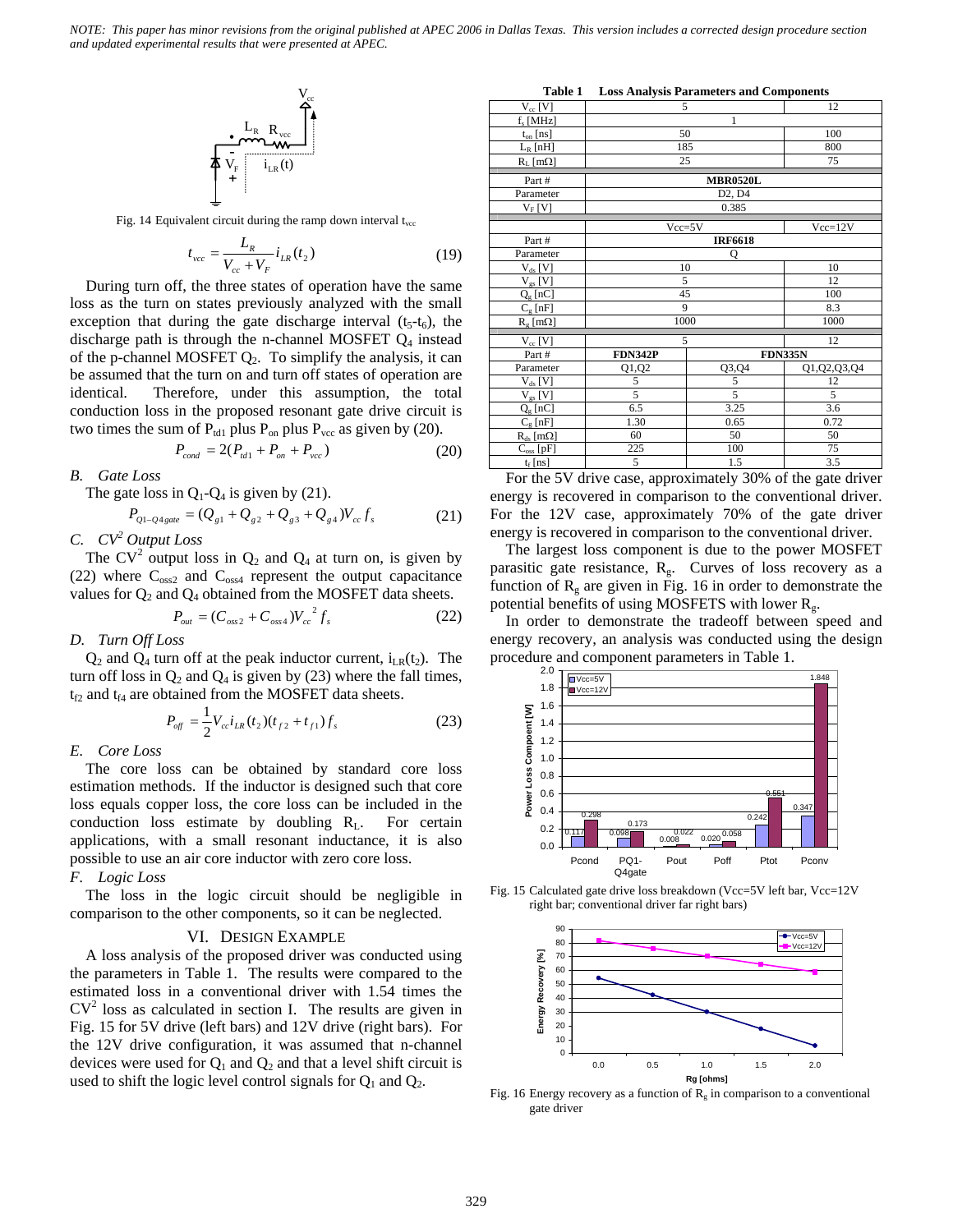$$
\left\{\begin{array}{c} \mathbf{L}_{\mathrm{R}}\underset{\mathbf{V}_{\mathrm{rec}}}{\mathbf{L}_{\mathrm{R}}}\mathbf{R}_{\mathrm{vec}} \\ \mathbf{L}_{\mathrm{R}}\underset{\mathbf{V}_{\mathrm{F}}}{\mathbf{L}_{\mathrm{R}}}\left| \mathbf{I}_{\mathrm{LR}}\left(t\right)\right. \end{array}\right.
$$

Fig. 14 Equivalent circuit during the ramp down interval  $t_{\text{vec}}$ 

$$
t_{\text{vec}} = \frac{L_R}{V_{cc} + V_F} i_{LR}(t_2)
$$
 (19)

During turn off, the three states of operation have the same loss as the turn on states previously analyzed with the small exception that during the gate discharge interval  $(t<sub>5</sub>-t<sub>6</sub>)$ , the discharge path is through the n-channel MOSFET  $Q_4$  instead of the p-channel MOSFET  $Q_2$ . To simplify the analysis, it can be assumed that the turn on and turn off states of operation are identical. Therefore, under this assumption, the total conduction loss in the proposed resonant gate drive circuit is two times the sum of  $P_{td1}$  plus  $P_{on}$  plus  $P_{vec}$  as given by (20).

$$
P_{cond} = 2(P_{d1} + P_{on} + P_{vec})
$$
 (20)

*B. Gate Loss* 

The gate loss in  $Q_1$ - $Q_4$  is given by (21).

$$
P_{Q1-Q4\,gate} = (Q_{g1} + Q_{g2} + Q_{g3} + Q_{g4})V_{cc}f_s \tag{21}
$$

*C. CV2 Output Loss* 

The  $CV^2$  output loss in  $Q_2$  and  $Q_4$  at turn on, is given by (22) where  $C_{oss2}$  and  $C_{oss4}$  represent the output capacitance values for  $Q_2$  and  $Q_4$  obtained from the MOSFET data sheets.

$$
P_{out} = (C_{oss2} + C_{oss4})V_{cc}^{2} f_s
$$
 (22)

*D. Turn Off Loss* 

 $Q_2$  and  $Q_4$  turn off at the peak inductor current,  $i_{LR}(t_2)$ . The turn off loss in  $Q_2$  and  $Q_4$  is given by (23) where the fall times,  $t_{f2}$  and  $t_{f4}$  are obtained from the MOSFET data sheets.

$$
P_{\text{off}} = \frac{1}{2} V_{\text{cc}} i_{LR} (t_2) (t_{f2} + t_{f1}) f_s \tag{23}
$$

#### *E. Core Loss*

The core loss can be obtained by standard core loss estimation methods. If the inductor is designed such that core loss equals copper loss, the core loss can be included in the conduction loss estimate by doubling  $R_L$ . For certain applications, with a small resonant inductance, it is also possible to use an air core inductor with zero core loss.

*F. Logic Loss* 

The loss in the logic circuit should be negligible in comparison to the other components, so it can be neglected.

#### VI. DESIGN EXAMPLE

A loss analysis of the proposed driver was conducted using the parameters in Table 1. The results were compared to the estimated loss in a conventional driver with 1.54 times the  $CV<sup>2</sup>$  loss as calculated in section I. The results are given in Fig. 15 for 5V drive (left bars) and 12V drive (right bars). For the 12V drive configuration, it was assumed that n-channel devices were used for  $Q_1$  and  $Q_2$  and that a level shift circuit is used to shift the logic level control signals for  $Q_1$  and  $Q_2$ .

**Table 1 Loss Analysis Parameters and Components** 

|                        | Table 1 - Eoss Analysis I arameters and Components |                |                |  |  |  |  |
|------------------------|----------------------------------------------------|----------------|----------------|--|--|--|--|
| $V_{cc}$ [V]           | 5                                                  | 12             |                |  |  |  |  |
| $f_s$ [MHz]            | $\mathbf{1}$                                       |                |                |  |  |  |  |
| $t_{on}$ [ns]          | 50                                                 | 100            |                |  |  |  |  |
| $L_R$ [nH]             | 185                                                | 800            |                |  |  |  |  |
| $R_L$ [m $\Omega$ ]    | 25                                                 | 75             |                |  |  |  |  |
| Part#                  | <b>MBR0520L</b>                                    |                |                |  |  |  |  |
| Parameter              | D <sub>2</sub> , D <sub>4</sub>                    |                |                |  |  |  |  |
| $V_F$ [V]              | 0.385                                              |                |                |  |  |  |  |
|                        | $Vcc=5V$<br>$Vcc=12V$                              |                |                |  |  |  |  |
| Part#                  | <b>IRF6618</b>                                     |                |                |  |  |  |  |
| Parameter              | Q                                                  |                |                |  |  |  |  |
| $V_{ds}$ [V]           | 10                                                 | 10             |                |  |  |  |  |
| $V_{gs}$ [V]           | 5                                                  |                | 12             |  |  |  |  |
| $Q_g$ [nC]             | 45                                                 |                | 100            |  |  |  |  |
| $C_{\varrho}$ [nF]     | 9                                                  | 8.3            |                |  |  |  |  |
| $R_e$ [m $\Omega$ ]    | 1000                                               | 1000           |                |  |  |  |  |
| $V_{cc}$ [V]           | 5<br>12                                            |                |                |  |  |  |  |
| Part #                 | <b>FDN342P</b>                                     |                | <b>FDN335N</b> |  |  |  |  |
| Parameter              | Q1,Q2                                              | Q3,Q4          | Q1, Q2, Q3, Q4 |  |  |  |  |
| $V_{ds}$ [V]           | 5                                                  | 5              | 12             |  |  |  |  |
| $V_{gs}$ [V]           | $\overline{5}$                                     | $\overline{5}$ | 5              |  |  |  |  |
| $Q_{g}$ [nC]           | 6.5                                                | 3.25           | 3.6            |  |  |  |  |
| $C_g$ [nF]             | 1.30                                               | 0.65           | 0.72           |  |  |  |  |
| $R_{ds}$ [m $\Omega$ ] | 60                                                 | 50             | 50             |  |  |  |  |
| $C_{\rm oss}$ [pF]     | 225                                                | 100            | 75             |  |  |  |  |
| $t_f$ [ns]             | 5                                                  | 1.5            | 3.5            |  |  |  |  |

For the 5V drive case, approximately 30% of the gate driver energy is recovered in comparison to the conventional driver. For the 12V case, approximately 70% of the gate driver energy is recovered in comparison to the conventional driver.

The largest loss component is due to the power MOSFET parasitic gate resistance,  $R<sub>g</sub>$ . Curves of loss recovery as a function of  $R<sub>g</sub>$  are given in Fig. 16 in order to demonstrate the potential benefits of using MOSFETS with lower  $R_{g}$ .

In order to demonstrate the tradeoff between speed and energy recovery, an analysis was conducted using the design procedure and component parameters in Table 1.



Fig. 15 Calculated gate drive loss breakdown (Vcc=5V left bar, Vcc=12V right bar; conventional driver far right bars)



Fig. 16 Energy recovery as a function of  $R<sub>g</sub>$  in comparison to a conventional gate driver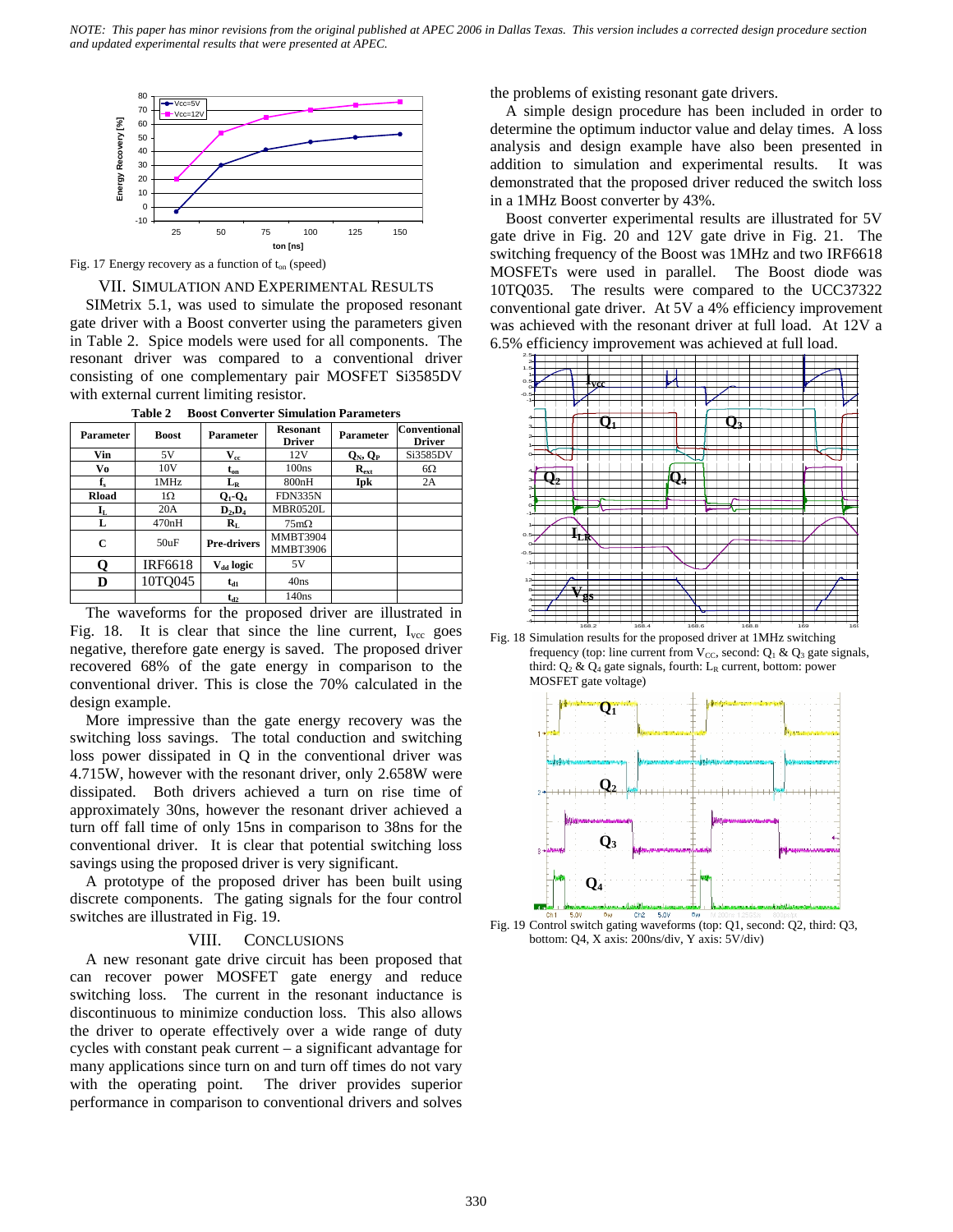

Fig. 17 Energy recovery as a function of  $t_{on}$  (speed)

#### VII. SIMULATION AND EXPERIMENTAL RESULTS

SIMetrix 5.1, was used to simulate the proposed resonant gate driver with a Boost converter using the parameters given in Table 2. Spice models were used for all components. The resonant driver was compared to a conventional driver consisting of one complementary pair MOSFET Si3585DV with external current limiting resistor.

| Parameter            | <b>Boost</b>    | <b>Parameter</b>          | <b>Resonant</b><br><b>Driver</b>   | <b>Parameter</b> | <b>Conventional</b><br><b>Driver</b> |
|----------------------|-----------------|---------------------------|------------------------------------|------------------|--------------------------------------|
| Vin                  | 5V              | $\mathbf{V}_{\text{cc}}$  | 12V                                | $Q_N, Q_P$       | Si3585DV                             |
| Vo                   | 10 <sub>V</sub> | $t_{on}$                  | 100ns                              | $R_{ext}$        | $6\Omega$                            |
| $\mathbf{f}_s$       | 1MHz            | $L_R$                     | 800nH                              | Ipk              | 2A                                   |
| <b>Rload</b>         | $1\Omega$       | $Q_1$ - $Q_4$             | <b>FDN335N</b>                     |                  |                                      |
| $\mathbf{I}_{\rm L}$ | 20A             | $D_2, D_4$                | <b>MBR0520L</b>                    |                  |                                      |
| L                    | 470nH           | $\mathbf{R}_{\mathrm{L}}$ | $75 \text{m}\Omega$                |                  |                                      |
| C                    | 50uF            | <b>Pre-drivers</b>        | <b>MMBT3904</b><br><b>MMBT3906</b> |                  |                                      |
| Q                    | IRF6618         | V <sub>dd</sub> logic     | 5V                                 |                  |                                      |
| D                    | 10TO045         | $t_{d1}$                  | 40ns                               |                  |                                      |
|                      |                 | $t_{d2}$                  | 140ns                              |                  |                                      |

**Table 2 Boost Converter Simulation Parameters** 

The waveforms for the proposed driver are illustrated in Fig. 18. It is clear that since the line current,  $I_{\text{vec}}$  goes negative, therefore gate energy is saved. The proposed driver recovered 68% of the gate energy in comparison to the conventional driver. This is close the 70% calculated in the design example.

More impressive than the gate energy recovery was the switching loss savings. The total conduction and switching loss power dissipated in Q in the conventional driver was 4.715W, however with the resonant driver, only 2.658W were dissipated. Both drivers achieved a turn on rise time of approximately 30ns, however the resonant driver achieved a turn off fall time of only 15ns in comparison to 38ns for the conventional driver. It is clear that potential switching loss savings using the proposed driver is very significant.

A prototype of the proposed driver has been built using discrete components. The gating signals for the four control switches are illustrated in Fig. 19.

## VIII. CONCLUSIONS

A new resonant gate drive circuit has been proposed that can recover power MOSFET gate energy and reduce switching loss. The current in the resonant inductance is discontinuous to minimize conduction loss. This also allows the driver to operate effectively over a wide range of duty cycles with constant peak current – a significant advantage for many applications since turn on and turn off times do not vary with the operating point. The driver provides superior performance in comparison to conventional drivers and solves

the problems of existing resonant gate drivers.

A simple design procedure has been included in order to determine the optimum inductor value and delay times. A loss analysis and design example have also been presented in addition to simulation and experimental results. It was demonstrated that the proposed driver reduced the switch loss in a 1MHz Boost converter by 43%.

Boost converter experimental results are illustrated for 5V gate drive in Fig. 20 and 12V gate drive in Fig. 21. The switching frequency of the Boost was 1MHz and two IRF6618 MOSFETs were used in parallel. The Boost diode was 10TQ035. The results were compared to the UCC37322 conventional gate driver. At 5V a 4% efficiency improvement was achieved with the resonant driver at full load. At 12V a 6.5% efficiency improvement was achieved at full load.



Fig. 18 Simulation results for the proposed driver at 1MHz switching frequency (top: line current from  $V_{CC}$ , second:  $Q_1 \& Q_3$  gate signals, third:  $Q_2$  &  $Q_4$  gate signals, fourth: L<sub>R</sub> current, bottom: power MOSFET gate voltage)



Fig. 19 Control switch gating waveforms (top: Q1, second: Q2, third: Q3, bottom: Q4, X axis: 200ns/div, Y axis: 5V/div)